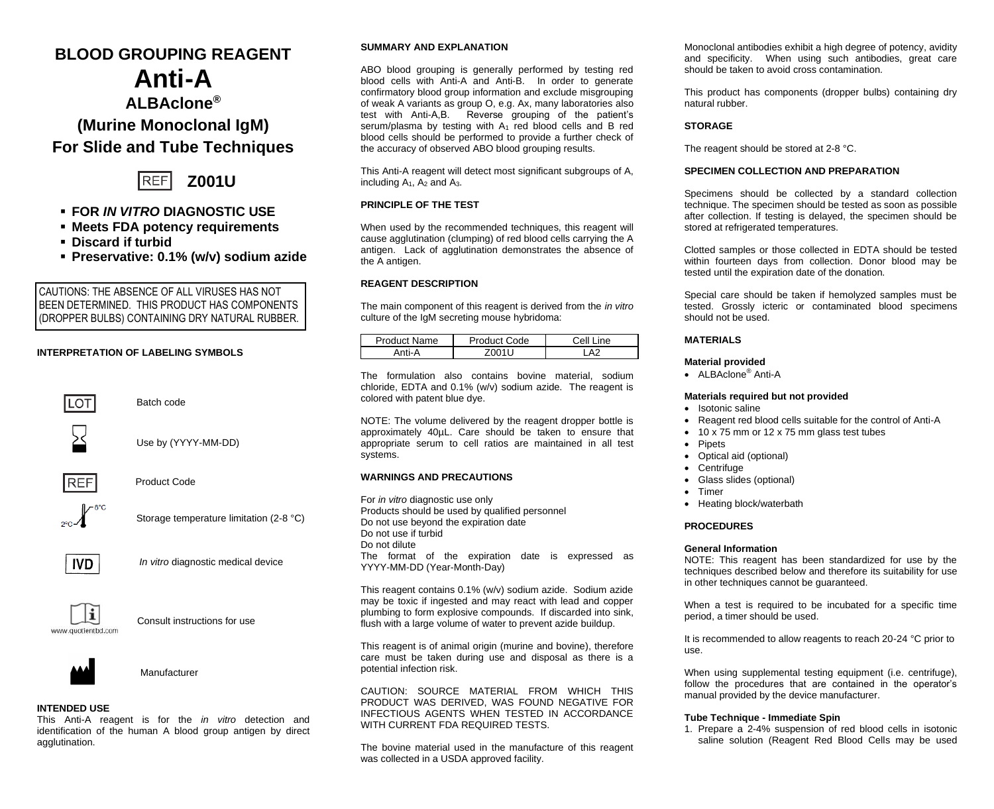## **BLOOD GROUPING REAGENT**

# **Anti-A ALBAclone® (Murine Monoclonal IgM) For Slide and Tube Techniques**



## ▪ **FOR** *IN VITRO* **DIAGNOSTIC USE**

- **Meets FDA potency requirements**
- **Discard if turbid**
- **Preservative: 0.1% (w/v) sodium azide**

CAUTIONS: THE ABSENCE OF ALL VIRUSES HAS NOT BEEN DETERMINED. THIS PRODUCT HAS COMPONENTS (DROPPER BULBS) CONTAINING DRY NATURAL RUBBER.

## **INTERPRETATION OF LABELING SYMBOLS**



## **INTENDED USE**

This Anti-A reagent is for the *in vitro* detection and identification of the human A blood group antigen by direct agglutination.

## **SUMMARY AND EXPLANATION**

ABO blood grouping is generally performed by testing red blood cells with Anti-A and Anti-B. In order to generate confirmatory blood group information and exclude misgrouping of weak A variants as group O, e.g. Ax, many laboratories also test with Anti-A,B. Reverse grouping of the patient's serum/plasma by testing with  $A_1$  red blood cells and B red blood cells should be performed to provide a further check of the accuracy of observed ABO blood grouping results.

This Anti-A reagent will detect most significant subgroups of A, including  $A_1$ ,  $A_2$  and  $A_3$ .

## **PRINCIPLE OF THE TEST**

When used by the recommended techniques, this reagent will cause agglutination (clumping) of red blood cells carrying the A antigen. Lack of agglutination demonstrates the absence of the A antigen.

## **REAGENT DESCRIPTION**

The main component of this reagent is derived from the *in vitro* culture of the IgM secreting mouse hybridoma:

| Product Name | Product Code | Line<br>Cell |
|--------------|--------------|--------------|
|              |              | $\Lambda$    |

The formulation also contains bovine material, sodium chloride, EDTA and 0.1% (w/v) sodium azide. The reagent is colored with patent blue dye.

NOTE: The volume delivered by the reagent dropper bottle is approximately 40µL. Care should be taken to ensure that appropriate serum to cell ratios are maintained in all test systems.

## **WARNINGS AND PRECAUTIONS**

For *in vitro* diagnostic use only Products should be used by qualified personnel Do not use beyond the expiration date Do not use if turbid Do not dilute The format of the expiration date is expressed as YYYY-MM-DD (Year-Month-Day)

This reagent contains 0.1% (w/v) sodium azide. Sodium azide may be toxic if ingested and may react with lead and copper plumbing to form explosive compounds. If discarded into sink, flush with a large volume of water to prevent azide buildup.

This reagent is of animal origin (murine and bovine), therefore care must be taken during use and disposal as there is a potential infection risk.

CAUTION: SOURCE MATERIAL FROM WHICH THIS PRODUCT WAS DERIVED, WAS FOUND NEGATIVE FOR INFECTIOUS AGENTS WHEN TESTED IN ACCORDANCE WITH CURRENT FDA REQUIRED TESTS.

The bovine material used in the manufacture of this reagent was collected in a USDA approved facility.

Monoclonal antibodies exhibit a high degree of potency, avidity and specificity. When using such antibodies, great care should be taken to avoid cross contamination*.*

This product has components (dropper bulbs) containing dry natural rubber.

## **STORAGE**

The reagent should be stored at 2-8 °C.

## **SPECIMEN COLLECTION AND PREPARATION**

Specimens should be collected by a standard collection technique. The specimen should be tested as soon as possible after collection. If testing is delayed, the specimen should be stored at refrigerated temperatures.

Clotted samples or those collected in EDTA should be tested within fourteen days from collection. Donor blood may be tested until the expiration date of the donation.

Special care should be taken if hemolyzed samples must be tested. Grossly icteric or contaminated blood specimens should not be used.

### **MATERIALS**

## **Material provided**

• ALBAclone® Anti-A

#### **Materials required but not provided**

- Isotonic saline
- Reagent red blood cells suitable for the control of Anti-A
- 10 x 75 mm or 12 x 75 mm glass test tubes
- **Pipets**
- Optical aid (optional)
- **Centrifuge**
- Glass slides (optional)
- Timer
- Heating block/waterbath

## **PROCEDURES**

#### **General Information**

NOTE: This reagent has been standardized for use by the techniques described below and therefore its suitability for use in other techniques cannot be guaranteed.

When a test is required to be incubated for a specific time period, a timer should be used.

It is recommended to allow reagents to reach 20-24 °C prior to use.

When using supplemental testing equipment (i.e. centrifuge), follow the procedures that are contained in the operator's manual provided by the device manufacturer.

## **Tube Technique - Immediate Spin**

1. Prepare a 2-4% suspension of red blood cells in isotonic saline solution (Reagent Red Blood Cells may be used